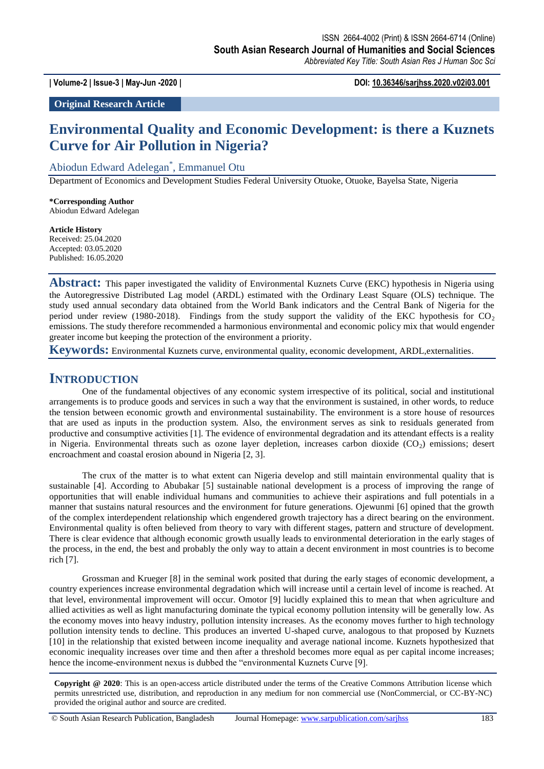**| Volume-2 | Issue-3 | May-Jun -2020 | DOI: 10.36346/sarjhss.2020.v02i03.001**

**Original Research Article**

# **Environmental Quality and Economic Development: is there a Kuznets Curve for Air Pollution in Nigeria?**

Abiodun Edward Adelegan\* , Emmanuel Otu

Department of Economics and Development Studies Federal University Otuoke, Otuoke, Bayelsa State, Nigeria

**\*Corresponding Author** Abiodun Edward Adelegan

**Article History** Received: 25.04.2020 Accepted: 03.05.2020 Published: 16.05.2020

**Abstract:** This paper investigated the validity of Environmental Kuznets Curve (EKC) hypothesis in Nigeria using the Autoregressive Distributed Lag model (ARDL) estimated with the Ordinary Least Square (OLS) technique. The study used annual secondary data obtained from the World Bank indicators and the Central Bank of Nigeria for the period under review (1980-2018). Findings from the study support the validity of the EKC hypothesis for  $CO<sub>2</sub>$ emissions. The study therefore recommended a harmonious environmental and economic policy mix that would engender greater income but keeping the protection of the environment a priority.

**Keywords:** Environmental Kuznets curve, environmental quality, economic development, ARDL,externalities.

## **INTRODUCTION**

One of the fundamental objectives of any economic system irrespective of its political, social and institutional arrangements is to produce goods and services in such a way that the environment is sustained, in other words, to reduce the tension between economic growth and environmental sustainability. The environment is a store house of resources that are used as inputs in the production system. Also, the environment serves as sink to residuals generated from productive and consumptive activities [1]. The evidence of environmental degradation and its attendant effects is a reality in Nigeria. Environmental threats such as ozone layer depletion, increases carbon dioxide  $(CO<sub>2</sub>)$  emissions; desert encroachment and coastal erosion abound in Nigeria [2, 3].

The crux of the matter is to what extent can Nigeria develop and still maintain environmental quality that is sustainable [4]. According to Abubakar [5] sustainable national development is a process of improving the range of opportunities that will enable individual humans and communities to achieve their aspirations and full potentials in a manner that sustains natural resources and the environment for future generations. Ojewunmi [6] opined that the growth of the complex interdependent relationship which engendered growth trajectory has a direct bearing on the environment. Environmental quality is often believed from theory to vary with different stages, pattern and structure of development. There is clear evidence that although economic growth usually leads to environmental deterioration in the early stages of the process, in the end, the best and probably the only way to attain a decent environment in most countries is to become rich [7].

Grossman and Krueger [8] in the seminal work posited that during the early stages of economic development, a country experiences increase environmental degradation which will increase until a certain level of income is reached. At that level, environmental improvement will occur. Omotor [9] lucidly explained this to mean that when agriculture and allied activities as well as light manufacturing dominate the typical economy pollution intensity will be generally low. As the economy moves into heavy industry, pollution intensity increases. As the economy moves further to high technology pollution intensity tends to decline. This produces an inverted U-shaped curve, analogous to that proposed by Kuznets [10] in the relationship that existed between income inequality and average national income. Kuznets hypothesized that economic inequality increases over time and then after a threshold becomes more equal as per capital income increases; hence the income-environment nexus is dubbed the "environmental Kuznets Curve [9].

**Copyright @ 2020**: This is an open-access article distributed under the terms of the Creative Commons Attribution license which permits unrestricted use, distribution, and reproduction in any medium for non commercial use (NonCommercial, or CC-BY-NC) provided the original author and source are credited.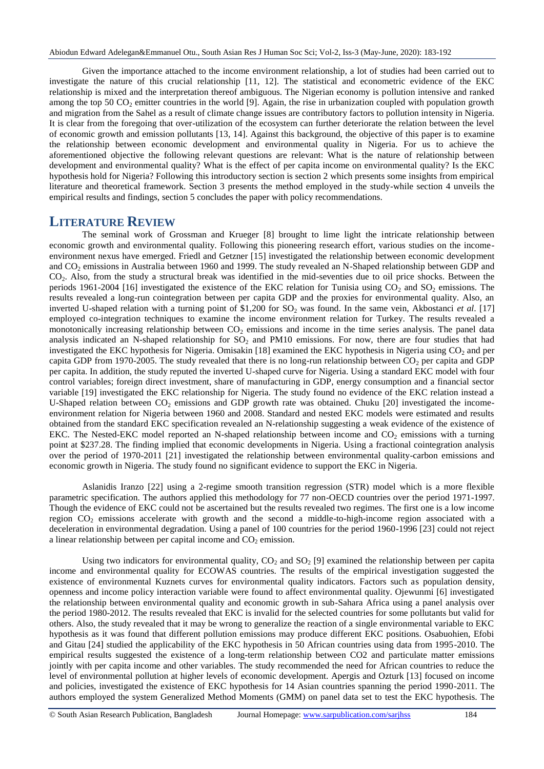Given the importance attached to the income environment relationship, a lot of studies had been carried out to investigate the nature of this crucial relationship [11, 12]. The statistical and econometric evidence of the EKC relationship is mixed and the interpretation thereof ambiguous. The Nigerian economy is pollution intensive and ranked among the top 50  $CO<sub>2</sub>$  emitter countries in the world [9]. Again, the rise in urbanization coupled with population growth and migration from the Sahel as a result of climate change issues are contributory factors to pollution intensity in Nigeria. It is clear from the foregoing that over-utilization of the ecosystem can further deteriorate the relation between the level of economic growth and emission pollutants [13, 14]. Against this background, the objective of this paper is to examine the relationship between economic development and environmental quality in Nigeria. For us to achieve the aforementioned objective the following relevant questions are relevant: What is the nature of relationship between development and environmental quality? What is the effect of per capita income on environmental quality? Is the EKC hypothesis hold for Nigeria? Following this introductory section is section 2 which presents some insights from empirical literature and theoretical framework. Section 3 presents the method employed in the study-while section 4 unveils the empirical results and findings, section 5 concludes the paper with policy recommendations.

## **LITERATURE REVIEW**

The seminal work of Grossman and Krueger [8] brought to lime light the intricate relationship between economic growth and environmental quality. Following this pioneering research effort, various studies on the incomeenvironment nexus have emerged. Friedl and Getzner [15] investigated the relationship between economic development and CO<sup>2</sup> emissions in Australia between 1960 and 1999. The study revealed an N-Shaped relationship between GDP and CO2. Also, from the study a structural break was identified in the mid-seventies due to oil price shocks. Between the periods 1961-2004 [16] investigated the existence of the EKC relation for Tunisia using  $CO<sub>2</sub>$  and  $SO<sub>2</sub>$  emissions. The results revealed a long-run cointegration between per capita GDP and the proxies for environmental quality. Also, an inverted U-shaped relation with a turning point of \$1,200 for SO<sub>2</sub> was found. In the same vein, Akbostanci *et al.* [17] employed co-integration techniques to examine the income environment relation for Turkey. The results revealed a monotonically increasing relationship between  $CO<sub>2</sub>$  emissions and income in the time series analysis. The panel data analysis indicated an N-shaped relationship for  $SO_2$  and PM10 emissions. For now, there are four studies that had investigated the EKC hypothesis for Nigeria. Omisakin [18] examined the EKC hypothesis in Nigeria using  $CO<sub>2</sub>$  and per capita GDP from 1970-2005. The study revealed that there is no long-run relationship between  $CO<sub>2</sub>$  per capita and GDP per capita. In addition, the study reputed the inverted U-shaped curve for Nigeria. Using a standard EKC model with four control variables; foreign direct investment, share of manufacturing in GDP, energy consumption and a financial sector variable [19] investigated the EKC relationship for Nigeria. The study found no evidence of the EKC relation instead a U-Shaped relation between CO<sub>2</sub> emissions and GDP growth rate was obtained. Chuku [20] investigated the incomeenvironment relation for Nigeria between 1960 and 2008. Standard and nested EKC models were estimated and results obtained from the standard EKC specification revealed an N-relationship suggesting a weak evidence of the existence of EKC. The Nested-EKC model reported an N-shaped relationship between income and  $CO_2$  emissions with a turning point at \$237.28. The finding implied that economic developments in Nigeria. Using a fractional cointegration analysis over the period of 1970-2011 [21] investigated the relationship between environmental quality-carbon emissions and economic growth in Nigeria. The study found no significant evidence to support the EKC in Nigeria.

Aslanidis Iranzo [22] using a 2-regime smooth transition regression (STR) model which is a more flexible parametric specification. The authors applied this methodology for 77 non-OECD countries over the period 1971-1997. Though the evidence of EKC could not be ascertained but the results revealed two regimes. The first one is a low income region CO<sup>2</sup> emissions accelerate with growth and the second a middle-to-high-income region associated with a deceleration in environmental degradation. Using a panel of 100 countries for the period 1960-1996 [23] could not reject a linear relationship between per capital income and  $CO<sub>2</sub>$  emission.

Using two indicators for environmental quality,  $CO<sub>2</sub>$  and  $SO<sub>2</sub>$  [9] examined the relationship between per capita income and environmental quality for ECOWAS countries. The results of the empirical investigation suggested the existence of environmental Kuznets curves for environmental quality indicators. Factors such as population density, openness and income policy interaction variable were found to affect environmental quality. Ojewunmi [6] investigated the relationship between environmental quality and economic growth in sub-Sahara Africa using a panel analysis over the period 1980-2012. The results revealed that EKC is invalid for the selected countries for some pollutants but valid for others. Also, the study revealed that it may be wrong to generalize the reaction of a single environmental variable to EKC hypothesis as it was found that different pollution emissions may produce different EKC positions. Osabuohien, Efobi and Gitau [24] studied the applicability of the EKC hypothesis in 50 African countries using data from 1995-2010. The empirical results suggested the existence of a long-term relationship between CO2 and particulate matter emissions jointly with per capita income and other variables. The study recommended the need for African countries to reduce the level of environmental pollution at higher levels of economic development. Apergis and Ozturk [13] focused on income and policies, investigated the existence of EKC hypothesis for 14 Asian countries spanning the period 1990-2011. The authors employed the system Generalized Method Moments (GMM) on panel data set to test the EKC hypothesis. The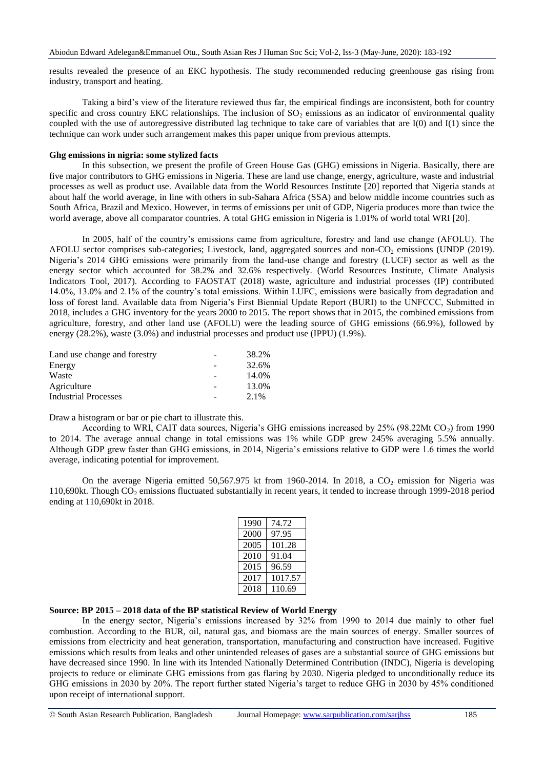results revealed the presence of an EKC hypothesis. The study recommended reducing greenhouse gas rising from industry, transport and heating.

Taking a bird's view of the literature reviewed thus far, the empirical findings are inconsistent, both for country specific and cross country EKC relationships. The inclusion of  $SO_2$  emissions as an indicator of environmental quality coupled with the use of autoregressive distributed lag technique to take care of variables that are I(0) and I(1) since the technique can work under such arrangement makes this paper unique from previous attempts.

### **Ghg emissions in nigria: some stylized facts**

In this subsection, we present the profile of Green House Gas (GHG) emissions in Nigeria. Basically, there are five major contributors to GHG emissions in Nigeria. These are land use change, energy, agriculture, waste and industrial processes as well as product use. Available data from the World Resources Institute [20] reported that Nigeria stands at about half the world average, in line with others in sub-Sahara Africa (SSA) and below middle income countries such as South Africa, Brazil and Mexico. However, in terms of emissions per unit of GDP, Nigeria produces more than twice the world average, above all comparator countries. A total GHG emission in Nigeria is 1.01% of world total WRI [20].

In 2005, half of the country's emissions came from agriculture, forestry and land use change (AFOLU). The AFOLU sector comprises sub-categories; Livestock, land, aggregated sources and non- $CO<sub>2</sub>$  emissions (UNDP (2019). Nigeria's 2014 GHG emissions were primarily from the land-use change and forestry (LUCF) sector as well as the energy sector which accounted for 38.2% and 32.6% respectively. (World Resources Institute, Climate Analysis Indicators Tool, 2017). According to FAOSTAT (2018) waste, agriculture and industrial processes (IP) contributed 14.0%, 13.0% and 2.1% of the country's total emissions. Within LUFC, emissions were basically from degradation and loss of forest land. Available data from Nigeria's First Biennial Update Report (BURI) to the UNFCCC, Submitted in 2018, includes a GHG inventory for the years 2000 to 2015. The report shows that in 2015, the combined emissions from agriculture, forestry, and other land use (AFOLU) were the leading source of GHG emissions (66.9%), followed by energy (28.2%), waste (3.0%) and industrial processes and product use (IPPU) (1.9%).

| Land use change and forestry | - | 38.2%   |
|------------------------------|---|---------|
| Energy                       |   | 32.6%   |
| Waste                        |   | 14.0%   |
| Agriculture                  |   | 13.0%   |
| <b>Industrial Processes</b>  |   | $2.1\%$ |

Draw a histogram or bar or pie chart to illustrate this.

According to WRI, CAIT data sources, Nigeria's GHG emissions increased by  $25\%$  (98.22Mt CO<sub>2</sub>) from 1990 to 2014. The average annual change in total emissions was 1% while GDP grew 245% averaging 5.5% annually. Although GDP grew faster than GHG emissions, in 2014, Nigeria's emissions relative to GDP were 1.6 times the world average, indicating potential for improvement.

On the average Nigeria emitted  $50,567.975$  kt from 1960-2014. In 2018, a CO<sub>2</sub> emission for Nigeria was 110,690kt. Though  $CO<sub>2</sub>$  emissions fluctuated substantially in recent years, it tended to increase through 1999-2018 period ending at 110,690kt in 2018.

| 1990 | 74.72   |
|------|---------|
| 2000 | 97.95   |
| 2005 | 101.28  |
| 2010 | 91.04   |
| 2015 | 96.59   |
| 2017 | 1017.57 |
| 2018 | 110.69  |

### **Source: BP 2015 – 2018 data of the BP statistical Review of World Energy**

In the energy sector, Nigeria's emissions increased by 32% from 1990 to 2014 due mainly to other fuel combustion. According to the BUR, oil, natural gas, and biomass are the main sources of energy. Smaller sources of emissions from electricity and heat generation, transportation, manufacturing and construction have increased. Fugitive emissions which results from leaks and other unintended releases of gases are a substantial source of GHG emissions but have decreased since 1990. In line with its Intended Nationally Determined Contribution (INDC), Nigeria is developing projects to reduce or eliminate GHG emissions from gas flaring by 2030. Nigeria pledged to unconditionally reduce its GHG emissions in 2030 by 20%. The report further stated Nigeria's target to reduce GHG in 2030 by 45% conditioned upon receipt of international support.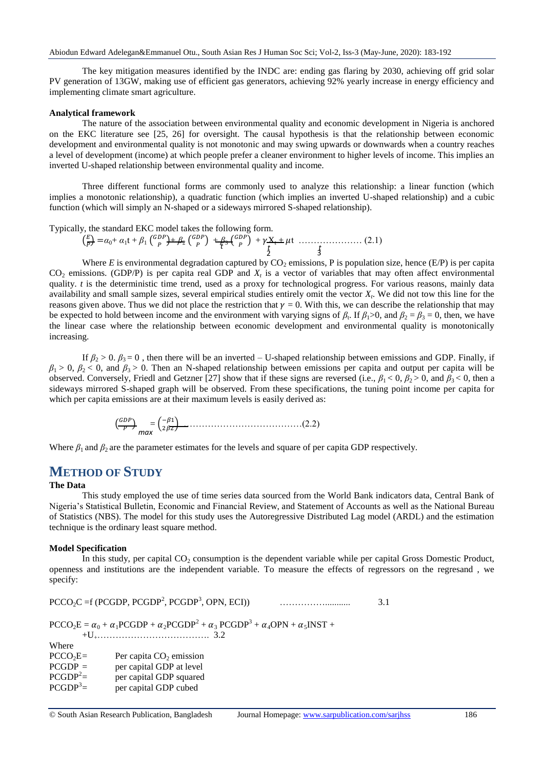The key mitigation measures identified by the INDC are: ending gas flaring by 2030, achieving off grid solar PV generation of 13GW, making use of efficient gas generators, achieving 92% yearly increase in energy efficiency and implementing climate smart agriculture.

#### **Analytical framework**

The nature of the association between environmental quality and economic development in Nigeria is anchored on the EKC literature see [25, 26] for oversight. The causal hypothesis is that the relationship between economic development and environmental quality is not monotonic and may swing upwards or downwards when a country reaches a level of development (income) at which people prefer a cleaner environment to higher levels of income. This implies an inverted U-shaped relationship between environmental quality and income.

Three different functional forms are commonly used to analyze this relationship: a linear function (which implies a monotonic relationship), a quadratic function (which implies an inverted U-shaped relationship) and a cubic function (which will simply an N-shaped or a sideways mirrored S-shaped relationship).

Typically, the standard EKC model takes the following form.

 $\binom{E}{E}$  $\frac{E}{P}$ ) =  $\alpha_0 + \alpha_1 t + \beta_1$  (<sup>G</sup>  $\binom{DP}{P} + \beta_2$  (<sup>G</sup>  $_{P}^{DP}$ ) +  $_{P}^{\beta}$  +  $_{P}^{\beta}$  +  $_{P}^{\beta}$  $\binom{DP}{P} + \gamma \frac{X_t}{t} + \mu t \quad \dots \quad (2.1)$  $\frac{t}{2}$   $\frac{t}{3}$ 

Where  $E$  is environmental degradation captured by  $CO_2$  emissions, P is population size, hence (E/P) is per capita  $CO<sub>2</sub>$  emissions. (GDP/P) is per capita real GDP and  $X<sub>t</sub>$  is a vector of variables that may often affect environmental quality. *t* is the deterministic time trend, used as a proxy for technological progress. For various reasons, mainly data availability and small sample sizes, several empirical studies entirely omit the vector *X<sup>t</sup>* . We did not tow this line for the reasons given above. Thus we did not place the restriction that  $\gamma = 0$ . With this, we can describe the relationship that may be expected to hold between income and the environment with varying signs of  $\beta_t$ . If  $\beta_1 > 0$ , and  $\beta_2 = \beta_3 = 0$ , then, we have the linear case where the relationship between economic development and environmental quality is monotonically increasing.

If  $\beta_2 > 0$ .  $\beta_3 = 0$ , then there will be an inverted – U-shaped relationship between emissions and GDP. Finally, if  $\beta_1 > 0$ ,  $\beta_2 < 0$ , and  $\beta_3 > 0$ . Then an N-shaped relationship between emissions per capita and output per capita will be observed. Conversely, Friedl and Getzner [27] show that if these signs are reversed (i.e.,  $\beta_1 < 0$ ,  $\beta_2 > 0$ , and  $\beta_3 < 0$ , then a sideways mirrored S-shaped graph will be observed. From these specifications, the tuning point income per capita for which per capita emissions are at their maximum levels is easily derived as:

( ) = ( ) …………………………………(2.2) *max*

Where  $\beta_1$  and  $\beta_2$  are the parameter estimates for the levels and square of per capita GDP respectively.

## **METHOD OF STUDY**

#### **The Data**

This study employed the use of time series data sourced from the World Bank indicators data, Central Bank of Nigeria's Statistical Bulletin, Economic and Financial Review, and Statement of Accounts as well as the National Bureau of Statistics (NBS). The model for this study uses the Autoregressive Distributed Lag model (ARDL) and the estimation technique is the ordinary least square method.

#### **Model Specification**

In this study, per capital  $CO<sub>2</sub>$  consumption is the dependent variable while per capital Gross Domestic Product, openness and institutions are the independent variable. To measure the effects of regressors on the regresand , we specify:

 $PCCO_2C = f (PCGDP, PCGDP^2, PCGDP^3)$  $\sim$  3.1

 $\text{PCCO}_2\text{E} = \alpha_0 + \alpha_1 \text{PCGDP} + \alpha_2 \text{PCGDP}^2 + \alpha_3 \text{PCGDP}^3 + \alpha_4 \text{OPN} + \alpha_5 \text{INST} +$ +U+………………………………. 3.2

Where

| $PCCO2E=$  | Per capita $CO2$ emission |
|------------|---------------------------|
| $PCGDP =$  | per capital GDP at level  |
| $PCGDP2=$  | per capital GDP squared   |
| $PCGDP3 =$ | per capital GDP cubed     |
|            |                           |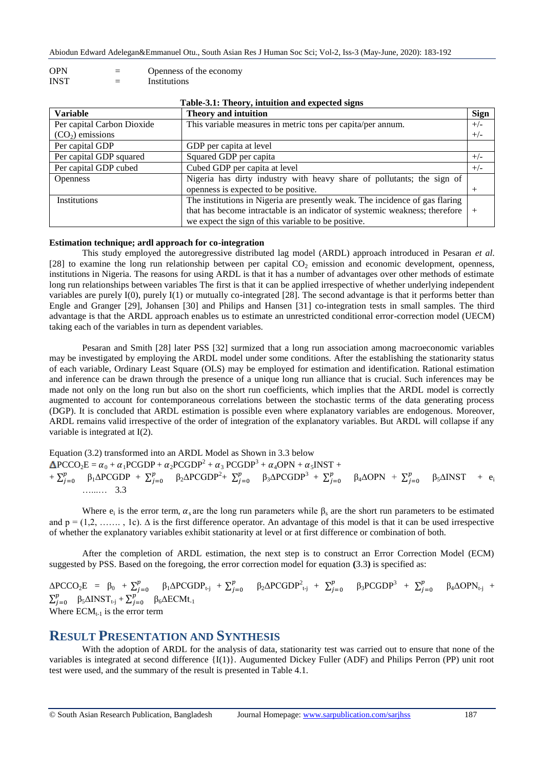- OPN = Openness of the economy
- INST = Institutions

| Table-3.1: Theory, intuition and expected signs |                                                                              |             |  |  |
|-------------------------------------------------|------------------------------------------------------------------------------|-------------|--|--|
| <b>Variable</b>                                 | <b>Theory and intuition</b>                                                  | <b>Sign</b> |  |  |
| Per capital Carbon Dioxide                      | This variable measures in metric tons per capita/per annum.                  | $+/-$       |  |  |
| $(CO2)$ emissions                               |                                                                              | $+/-$       |  |  |
| Per capital GDP                                 | GDP per capita at level                                                      |             |  |  |
| Per capital GDP squared                         | Squared GDP per capita                                                       | $+/-$       |  |  |
| Per capital GDP cubed                           | Cubed GDP per capita at level                                                | $+/-$       |  |  |
| <b>Openness</b>                                 | Nigeria has dirty industry with heavy share of pollutants; the sign of       |             |  |  |
|                                                 | openness is expected to be positive.                                         |             |  |  |
| Institutions                                    | The institutions in Nigeria are presently weak. The incidence of gas flaring |             |  |  |
|                                                 | that has become intractable is an indicator of systemic weakness; therefore  | $^{+}$      |  |  |
|                                                 | we expect the sign of this variable to be positive.                          |             |  |  |

#### **Table-3.1: Theory, intuition and expected signs**

### **Estimation technique; ardl approach for co-integration**

This study employed the autoregressive distributed lag model (ARDL) approach introduced in Pesaran *et al*. [28] to examine the long run relationship between per capital  $CO<sub>2</sub>$  emission and economic development, openness, institutions in Nigeria. The reasons for using ARDL is that it has a number of advantages over other methods of estimate long run relationships between variables The first is that it can be applied irrespective of whether underlying independent variables are purely I(0), purely I(1) or mutually co-integrated [28]. The second advantage is that it performs better than Engle and Granger [29], Johansen [30] and Philips and Hansen [31] co-integration tests in small samples. The third advantage is that the ARDL approach enables us to estimate an unrestricted conditional error-correction model (UECM) taking each of the variables in turn as dependent variables.

Pesaran and Smith [28] later PSS [32] surmized that a long run association among macroeconomic variables may be investigated by employing the ARDL model under some conditions. After the establishing the stationarity status of each variable, Ordinary Least Square (OLS) may be employed for estimation and identification. Rational estimation and inference can be drawn through the presence of a unique long run alliance that is crucial. Such inferences may be made not only on the long run but also on the short run coefficients, which implies that the ARDL model is correctly augmented to account for contemporaneous correlations between the stochastic terms of the data generating process (DGP). It is concluded that ARDL estimation is possible even where explanatory variables are endogenous. Moreover, ARDL remains valid irrespective of the order of integration of the explanatory variables. But ARDL will collapse if any variable is integrated at I(2).

Equation (3.2) transformed into an ARDL Model as Shown in 3.3 below  $\text{PCCO}_2\text{E} = \alpha_0 + \alpha_1 \text{PCGDP} + \alpha_2 \text{PCGDP}^2 + \alpha_3 \text{PCGDP}^3 + \alpha_4 \text{OPN} + \alpha_5 \text{INST} +$ +  $\sum_i^p$  ${}_{j=0}^{p}$  β<sub>1</sub>ΔPCGDP +  $\Sigma_j^p$  $p_{j=0}$  β<sub>2</sub>ΔPCGDP<sup>2</sup>+  $\Sigma_j^p$  $\beta_{j=0}$  β<sub>3</sub>ΔPCGDP<sup>3</sup> +  $\sum_{j=0}^{p}$  $p_{j=0}^{p}$   $\beta_4 \Delta \text{OPN}$  +  $\sum_{j}^{p}$  $\int_{j=0}^{p} \beta_5 \Delta \text{INST} + e_i$ …...… 3.3

Where  $e_i$  is the error term,  $\alpha_s$  are the long run parameters while  $\beta_s$  are the short run parameters to be estimated and  $p = (1,2, \ldots, 1c)$ . A is the first difference operator. An advantage of this model is that it can be used irrespective of whether the explanatory variables exhibit stationarity at level or at first difference or combination of both.

After the completion of ARDL estimation, the next step is to construct an Error Correction Model (ECM) suggested by PSS. Based on the foregoing, the error correction model for equation **(**3.3**)** is specified as:

 $\triangle PCCO_2E = \beta_0 + \sum_i^p$  $p_{j=0}^{p}$  β<sub>1</sub>ΔPCGDP<sub>t-j</sub> +  $\sum_{j=0}^{p}$  $p$ <sub>j=0</sub> β<sub>2</sub>ΔPCGDP<sup>2</sup><sub>t-j</sub> +  $\sum_{j}^{p}$  $p_{j=0}^p$   $\beta_3$ PCGDP<sup>3</sup> +  $\sum_j^p$  $\beta_{j=0}^{p}$   $\beta_{4}\Delta \text{OPN}_{t-j}$  +  $\sum_i^p$  $\sum_{j=0}^{p} \beta_5 \Delta \text{INST}_{t-j} + \sum_{j=1}^{p}$  $\int_{j=0}^{p} \beta_6 \Delta ECMt_{-1}$ Where  $ECM_{t-1}$  is the error term

## **RESULT PRESENTATION AND SYNTHESIS**

With the adoption of ARDL for the analysis of data, stationarity test was carried out to ensure that none of the variables is integrated at second difference {I(1)}. Augumented Dickey Fuller (ADF) and Philips Perron (PP) unit root test were used, and the summary of the result is presented in Table 4.1.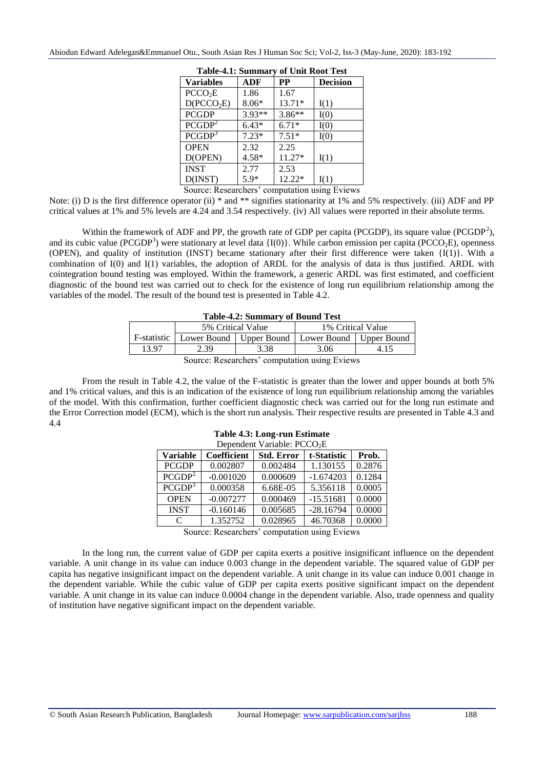| <b>Table-4.1: Summary of Unit Root Test</b> |          |          |                 |  |  |  |
|---------------------------------------------|----------|----------|-----------------|--|--|--|
| <b>Variables</b>                            | ADF      | PP       | <b>Decision</b> |  |  |  |
| PCCO <sub>2</sub> E                         | 1.86     | 1.67     |                 |  |  |  |
| D(PCCO <sub>2</sub> E)                      | $8.06*$  | 13.71*   | I(1)            |  |  |  |
| <b>PCGDP</b>                                | $3.93**$ | $3.86**$ | I(0)            |  |  |  |
| PCGDP <sup>2</sup>                          | $6.43*$  | $6.71*$  | I(0)            |  |  |  |
| PCGDP <sup>3</sup>                          | $7.23*$  | $7.51*$  | I(0)            |  |  |  |
| <b>OPEN</b>                                 | 2.32     | 2.25     |                 |  |  |  |
| D(OPEN)                                     | 4.58*    | 11.27*   | I(1)            |  |  |  |
| <b>INST</b>                                 | 2.77     | 2.53     |                 |  |  |  |
| D(INST)                                     | 5.9*     | 12.22*   | I(1)            |  |  |  |

Abiodun Edward Adelegan&Emmanuel Otu., South Asian Res J Human Soc Sci; Vol-2, Iss-3 (May-June, 2020): 183-192

Source: Researchers' computation using Eviews

Note: (i) D is the first difference operator (ii)  $*$  and  $**$  signifies stationarity at 1% and 5% respectively. (iii) ADF and PP critical values at 1% and 5% levels are 4.24 and 3.54 respectively. (iv) All values were reported in their absolute terms.

Within the framework of ADF and PP, the growth rate of GDP per capita (PCGDP), its square value (PCGDP<sup>2</sup>), and its cubic value (PCGDP<sup>3</sup>) were stationary at level data  $\{I(0)\}\)$ . While carbon emission per capita (PCCO<sub>2</sub>E), openness (OPEN), and quality of institution (INST) became stationary after their first difference were taken {I(1)}. With a combination of I(0) and I(1) variables, the adoption of ARDL for the analysis of data is thus justified. ARDL with cointegration bound testing was employed. Within the framework, a generic ARDL was first estimated, and coefficient diagnostic of the bound test was carried out to check for the existence of long run equilibrium relationship among the variables of the model. The result of the bound test is presented in Table 4.2.

| <b>Table-4.2: Summary of Bound Test</b> |  |  |  |
|-----------------------------------------|--|--|--|
|-----------------------------------------|--|--|--|

|                                         |      | 5% Critical Value | 1% Critical Value                                                   |  |  |  |  |
|-----------------------------------------|------|-------------------|---------------------------------------------------------------------|--|--|--|--|
|                                         |      |                   | F-statistic   Lower Bound   Upper Bound   Lower Bound   Upper Bound |  |  |  |  |
| 13.97                                   | 2.39 |                   | 3.06                                                                |  |  |  |  |
| Course Desember 2 committed with Friend |      |                   |                                                                     |  |  |  |  |

Source: Researchers' computation using Eviews

From the result in Table 4.2, the value of the F-statistic is greater than the lower and upper bounds at both 5% and 1% critical values, and this is an indication of the existence of long run equilibrium relationship among the variables of the model. With this confirmation, further coefficient diagnostic check was carried out for the long run estimate and the Error Correction model (ECM), which is the short run analysis. Their respective results are presented in Table 4.3 and 4.4

| Dependent Variable: PCCO <sub>2</sub> E |                    |                   |             |        |  |  |
|-----------------------------------------|--------------------|-------------------|-------------|--------|--|--|
| <b>Variable</b>                         | <b>Coefficient</b> | <b>Std. Error</b> | t-Statistic | Prob.  |  |  |
| <b>PCGDP</b>                            | 0.002807           | 0.002484          | 1.130155    | 0.2876 |  |  |
| PCGDP <sup>2</sup>                      | $-0.001020$        | 0.000609          | $-1.674203$ | 0.1284 |  |  |
| PCGDP <sup>3</sup>                      | 0.000358           | 6.68E-05          | 5.356118    | 0.0005 |  |  |
| <b>OPEN</b>                             | $-0.007277$        | 0.000469          | $-15.51681$ | 0.0000 |  |  |
| <b>INST</b>                             | $-0.160146$        | 0.005685          | $-28.16794$ | 0.0000 |  |  |
| C                                       | 1.352752           | 0.028965          | 46.70368    | 0.0000 |  |  |

# **Table 4.3: Long-run Estimate**

Source: Researchers' computation using Eviews

In the long run, the current value of GDP per capita exerts a positive insignificant influence on the dependent variable. A unit change in its value can induce 0.003 change in the dependent variable. The squared value of GDP per capita has negative insignificant impact on the dependent variable. A unit change in its value can induce 0.001 change in the dependent variable. While the cubic value of GDP per capita exerts positive significant impact on the dependent variable. A unit change in its value can induce 0.0004 change in the dependent variable. Also, trade openness and quality of institution have negative significant impact on the dependent variable.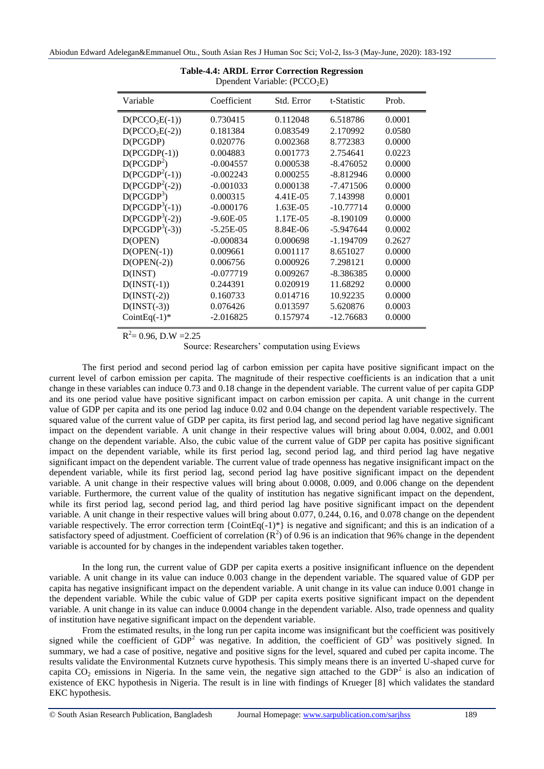| Variable               | Coefficient   | Std. Error | t-Statistic | Prob.  |
|------------------------|---------------|------------|-------------|--------|
| $D(PCCO2E(-1))$        | 0.730415      | 0.112048   | 6.518786    | 0.0001 |
| $D(PCCO2E(-2))$        | 0.181384      | 0.083549   | 2.170992    | 0.0580 |
| D(PCGDP)               | 0.020776      | 0.002368   | 8.772383    | 0.0000 |
| $D(PCGDP(-1))$         | 0.004883      | 0.001773   | 2.754641    | 0.0223 |
| D(PCGDP <sup>2</sup> ) | $-0.004557$   | 0.000538   | $-8.476052$ | 0.0000 |
| $D(PCGDP2(-1))$        | $-0.002243$   | 0.000255   | $-8.812946$ | 0.0000 |
| $D(PCGDP2(-2))$        | $-0.001033$   | 0.000138   | $-7.471506$ | 0.0000 |
| D(PCGDP <sup>3</sup> ) | 0.000315      | 4.41E-05   | 7.143998    | 0.0001 |
| $D(PCGDP3(-1))$        | $-0.000176$   | 1.63E-05   | $-10.77714$ | 0.0000 |
| $D(PCGDP3(-2))$        | $-9.60E - 05$ | 1.17E-05   | $-8.190109$ | 0.0000 |
| $D(PCGDP3(-3))$        | $-5.25E-05$   | 8.84E-06   | $-5.947644$ | 0.0002 |
| D(OPEN)                | $-0.000834$   | 0.000698   | $-1.194709$ | 0.2627 |
| $D(OPEN(-1))$          | 0.009661      | 0.001117   | 8.651027    | 0.0000 |
| $D(OPEN(-2))$          | 0.006756      | 0.000926   | 7.298121    | 0.0000 |
| D(INST)                | $-0.077719$   | 0.009267   | $-8.386385$ | 0.0000 |
| $D(INST(-1))$          | 0.244391      | 0.020919   | 11.68292    | 0.0000 |
| $D(INST(-2))$          | 0.160733      | 0.014716   | 10.92235    | 0.0000 |
| $D(INST(-3))$          | 0.076426      | 0.013597   | 5.620876    | 0.0003 |
| CointEq $(-1)^*$       | $-2.016825$   | 0.157974   | $-12.76683$ | 0.0000 |

#### **Table-4.4: ARDL Error Correction Regression** Dpendent Variable: (PCCO<sub>2</sub>E)

 $R^2 = 0.96$ , D.W = 2.25

Source: Researchers' computation using Eviews

The first period and second period lag of carbon emission per capita have positive significant impact on the current level of carbon emission per capita. The magnitude of their respective coefficients is an indication that a unit change in these variables can induce 0.73 and 0.18 change in the dependent variable. The current value of per capita GDP and its one period value have positive significant impact on carbon emission per capita. A unit change in the current value of GDP per capita and its one period lag induce 0.02 and 0.04 change on the dependent variable respectively. The squared value of the current value of GDP per capita, its first period lag, and second period lag have negative significant impact on the dependent variable. A unit change in their respective values will bring about 0.004, 0.002, and 0.001 change on the dependent variable. Also, the cubic value of the current value of GDP per capita has positive significant impact on the dependent variable, while its first period lag, second period lag, and third period lag have negative significant impact on the dependent variable. The current value of trade openness has negative insignificant impact on the dependent variable, while its first period lag, second period lag have positive significant impact on the dependent variable. A unit change in their respective values will bring about 0.0008, 0.009, and 0.006 change on the dependent variable. Furthermore, the current value of the quality of institution has negative significant impact on the dependent, while its first period lag, second period lag, and third period lag have positive significant impact on the dependent variable. A unit change in their respective values will bring about 0.077, 0.244, 0.16, and 0.078 change on the dependent variable respectively. The error correction term { $\text{CointEq}(-1)^*$ } is negative and significant; and this is an indication of a satisfactory speed of adjustment. Coefficient of correlation  $(R^2)$  of 0.96 is an indication that 96% change in the dependent variable is accounted for by changes in the independent variables taken together.

In the long run, the current value of GDP per capita exerts a positive insignificant influence on the dependent variable. A unit change in its value can induce 0.003 change in the dependent variable. The squared value of GDP per capita has negative insignificant impact on the dependent variable. A unit change in its value can induce 0.001 change in the dependent variable. While the cubic value of GDP per capita exerts positive significant impact on the dependent variable. A unit change in its value can induce 0.0004 change in the dependent variable. Also, trade openness and quality of institution have negative significant impact on the dependent variable.

From the estimated results, in the long run per capita income was insignificant but the coefficient was positively signed while the coefficient of  $GDP<sup>2</sup>$  was negative. In addition, the coefficient of  $GD<sup>3</sup>$  was positively signed. In summary, we had a case of positive, negative and positive signs for the level, squared and cubed per capita income. The results validate the Environmental Kutznets curve hypothesis. This simply means there is an inverted U-shaped curve for capita  $CO_2$  emissions in Nigeria. In the same vein, the negative sign attached to the  $GDP^2$  is also an indication of existence of EKC hypothesis in Nigeria. The result is in line with findings of Krueger [8] which validates the standard EKC hypothesis.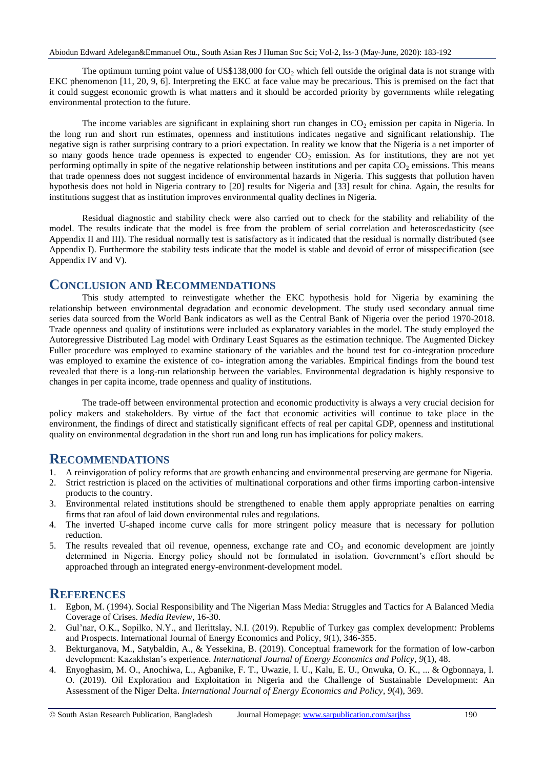The optimum turning point value of US\$138,000 for  $CO<sub>2</sub>$  which fell outside the original data is not strange with EKC phenomenon [11, 20, 9, 6]. Interpreting the EKC at face value may be precarious. This is premised on the fact that it could suggest economic growth is what matters and it should be accorded priority by governments while relegating environmental protection to the future.

The income variables are significant in explaining short run changes in  $CO<sub>2</sub>$  emission per capita in Nigeria. In the long run and short run estimates, openness and institutions indicates negative and significant relationship. The negative sign is rather surprising contrary to a priori expectation. In reality we know that the Nigeria is a net importer of so many goods hence trade openness is expected to engender  $CO<sub>2</sub>$  emission. As for institutions, they are not yet performing optimally in spite of the negative relationship between institutions and per capita  $CO<sub>2</sub>$  emissions. This means that trade openness does not suggest incidence of environmental hazards in Nigeria. This suggests that pollution haven hypothesis does not hold in Nigeria contrary to [20] results for Nigeria and [33] result for china. Again, the results for institutions suggest that as institution improves environmental quality declines in Nigeria.

Residual diagnostic and stability check were also carried out to check for the stability and reliability of the model. The results indicate that the model is free from the problem of serial correlation and heteroscedasticity (see Appendix II and III). The residual normally test is satisfactory as it indicated that the residual is normally distributed (see Appendix I). Furthermore the stability tests indicate that the model is stable and devoid of error of misspecification (see Appendix IV and V).

## **CONCLUSION AND RECOMMENDATIONS**

This study attempted to reinvestigate whether the EKC hypothesis hold for Nigeria by examining the relationship between environmental degradation and economic development. The study used secondary annual time series data sourced from the World Bank indicators as well as the Central Bank of Nigeria over the period 1970-2018. Trade openness and quality of institutions were included as explanatory variables in the model. The study employed the Autoregressive Distributed Lag model with Ordinary Least Squares as the estimation technique. The Augmented Dickey Fuller procedure was employed to examine stationary of the variables and the bound test for co-integration procedure was employed to examine the existence of co- integration among the variables. Empirical findings from the bound test revealed that there is a long-run relationship between the variables. Environmental degradation is highly responsive to changes in per capita income, trade openness and quality of institutions.

The trade-off between environmental protection and economic productivity is always a very crucial decision for policy makers and stakeholders. By virtue of the fact that economic activities will continue to take place in the environment, the findings of direct and statistically significant effects of real per capital GDP, openness and institutional quality on environmental degradation in the short run and long run has implications for policy makers.

## **RECOMMENDATIONS**

- 1. A reinvigoration of policy reforms that are growth enhancing and environmental preserving are germane for Nigeria.
- 2. Strict restriction is placed on the activities of multinational corporations and other firms importing carbon-intensive products to the country.
- 3. Environmental related institutions should be strengthened to enable them apply appropriate penalties on earring firms that ran afoul of laid down environmental rules and regulations.
- 4. The inverted U-shaped income curve calls for more stringent policy measure that is necessary for pollution reduction.
- 5. The results revealed that oil revenue, openness, exchange rate and CO<sub>2</sub> and economic development are jointly determined in Nigeria. Energy policy should not be formulated in isolation. Government's effort should be approached through an integrated energy-environment-development model.

## **REFERENCES**

- 1. Egbon, M. (1994). Social Responsibility and The Nigerian Mass Media: Struggles and Tactics for A Balanced Media Coverage of Crises. *Media Review*, 16-30.
- 2. Gul'nar, O.K., Sopilko, N.Y., and Ilerittslay, N.I. (2019). Republic of Turkey gas complex development: Problems and Prospects. International Journal of Energy Economics and Policy, *9*(1), 346-355.
- 3. Bekturganova, M., Satybaldin, A., & Yessekina, B. (2019). Conceptual framework for the formation of low-carbon development: Kazakhstan's experience. *International Journal of Energy Economics and Policy*, *9*(1), 48.
- 4. Enyoghasim, M. O., Anochiwa, L., Agbanike, F. T., Uwazie, I. U., Kalu, E. U., Onwuka, O. K., ... & Ogbonnaya, I. O. (2019). Oil Exploration and Exploitation in Nigeria and the Challenge of Sustainable Development: An Assessment of the Niger Delta. *International Journal of Energy Economics and Policy*, *9*(4), 369.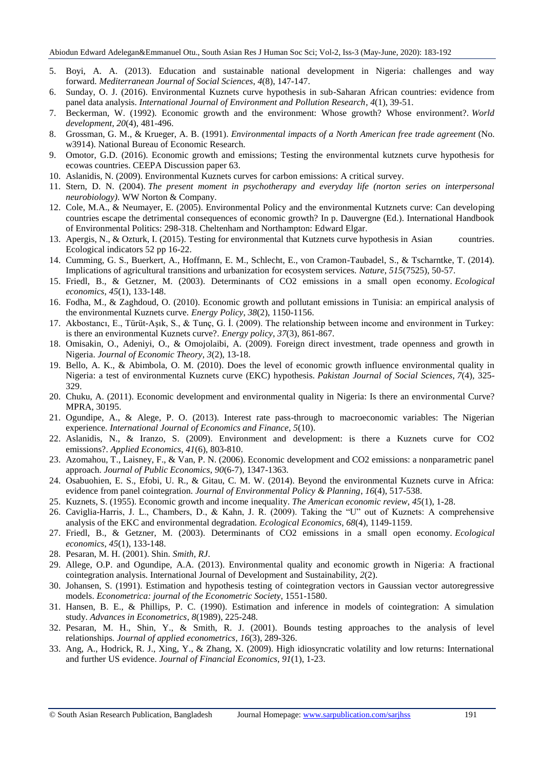- 5. Boyi, A. A. (2013). Education and sustainable national development in Nigeria: challenges and way forward. *Mediterranean Journal of Social Sciences*, *4*(8), 147-147.
- 6. Sunday, O. J. (2016). Environmental Kuznets curve hypothesis in sub-Saharan African countries: evidence from panel data analysis. *International Journal of Environment and Pollution Research*, *4*(1), 39-51.
- 7. Beckerman, W. (1992). Economic growth and the environment: Whose growth? Whose environment?. *World development*, *20*(4), 481-496.
- 8. Grossman, G. M., & Krueger, A. B. (1991). *Environmental impacts of a North American free trade agreement* (No. w3914). National Bureau of Economic Research.
- 9. Omotor, G.D. (2016). Economic growth and emissions; Testing the environmental kutznets curve hypothesis for ecowas countries. CEEPA Discussion paper 63.
- 10. Aslanidis, N. (2009). Environmental Kuznets curves for carbon emissions: A critical survey.
- 11. Stern, D. N. (2004). *The present moment in psychotherapy and everyday life (norton series on interpersonal neurobiology)*. WW Norton & Company.
- 12. Cole, M.A., & Neumayer, E. (2005). Environmental Policy and the environmental Kutznets curve: Can developing countries escape the detrimental consequences of economic growth? In p. Dauvergne (Ed.). International Handbook of Environmental Politics: 298-318. Cheltenham and Northampton: Edward Elgar.
- 13. Apergis, N., & Ozturk, I. (2015). Testing for environmental that Kutznets curve hypothesis in Asian countries. Ecological indicators 52 pp 16-22.
- 14. Cumming, G. S., Buerkert, A., Hoffmann, E. M., Schlecht, E., von Cramon-Taubadel, S., & Tscharntke, T. (2014). Implications of agricultural transitions and urbanization for ecosystem services. *Nature*, *515*(7525), 50-57.
- 15. Friedl, B., & Getzner, M. (2003). Determinants of CO2 emissions in a small open economy. *Ecological economics*, *45*(1), 133-148.
- 16. Fodha, M., & Zaghdoud, O. (2010). Economic growth and pollutant emissions in Tunisia: an empirical analysis of the environmental Kuznets curve. *Energy Policy*, *38*(2), 1150-1156.
- 17. Akbostancı, E., Türüt-Aşık, S., & Tunç, G. İ. (2009). The relationship between income and environment in Turkey: is there an environmental Kuznets curve?. *Energy policy*, *37*(3), 861-867.
- 18. Omisakin, O., Adeniyi, O., & Omojolaibi, A. (2009). Foreign direct investment, trade openness and growth in Nigeria. *Journal of Economic Theory*, *3*(2), 13-18.
- 19. Bello, A. K., & Abimbola, O. M. (2010). Does the level of economic growth influence environmental quality in Nigeria: a test of environmental Kuznets curve (EKC) hypothesis. *Pakistan Journal of Social Sciences*, *7*(4), 325- 329.
- 20. Chuku, A. (2011). Economic development and environmental quality in Nigeria: Is there an environmental Curve? MPRA, 30195.
- 21. Ogundipe, A., & Alege, P. O. (2013). Interest rate pass-through to macroeconomic variables: The Nigerian experience. *International Journal of Economics and Finance*, *5*(10).
- 22. Aslanidis, N., & Iranzo, S. (2009). Environment and development: is there a Kuznets curve for CO2 emissions?. *Applied Economics*, *41*(6), 803-810.
- 23. Azomahou, T., Laisney, F., & Van, P. N. (2006). Economic development and CO2 emissions: a nonparametric panel approach. *Journal of Public Economics*, *90*(6-7), 1347-1363.
- 24. Osabuohien, E. S., Efobi, U. R., & Gitau, C. M. W. (2014). Beyond the environmental Kuznets curve in Africa: evidence from panel cointegration. *Journal of Environmental Policy & Planning*, *16*(4), 517-538.
- 25. Kuznets, S. (1955). Economic growth and income inequality. *The American economic review*, *45*(1), 1-28.
- 26. Caviglia-Harris, J. L., Chambers, D., & Kahn, J. R. (2009). Taking the "U" out of Kuznets: A comprehensive analysis of the EKC and environmental degradation. *Ecological Economics*, *68*(4), 1149-1159.
- 27. Friedl, B., & Getzner, M. (2003). Determinants of CO2 emissions in a small open economy. *Ecological economics*, *45*(1), 133-148.
- 28. Pesaran, M. H. (2001). Shin. *Smith, RJ*.
- 29. Allege, O.P. and Ogundipe, A.A. (2013). Environmental quality and economic growth in Nigeria: A fractional cointegration analysis. International Journal of Development and Sustainability, *2*(2).
- 30. Johansen, S. (1991). Estimation and hypothesis testing of cointegration vectors in Gaussian vector autoregressive models. *Econometrica: journal of the Econometric Society*, 1551-1580.
- 31. Hansen, B. E., & Phillips, P. C. (1990). Estimation and inference in models of cointegration: A simulation study. *Advances in Econometrics*, *8*(1989), 225-248.
- 32. Pesaran, M. H., Shin, Y., & Smith, R. J. (2001). Bounds testing approaches to the analysis of level relationships. *Journal of applied econometrics*, *16*(3), 289-326.
- 33. Ang, A., Hodrick, R. J., Xing, Y., & Zhang, X. (2009). High idiosyncratic volatility and low returns: International and further US evidence. *Journal of Financial Economics*, *91*(1), 1-23.